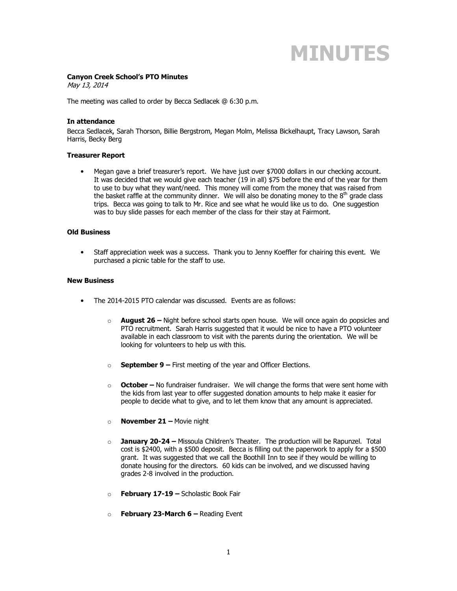# **MINUTES**

#### **Canyon Creek School's PTO Minutes**

May 13, 2014

The meeting was called to order by Becca Sedlacek @ 6:30 p.m.

## **In attendance**

Becca Sedlacek, Sarah Thorson, Billie Bergstrom, Megan Molm, Melissa Bickelhaupt, Tracy Lawson, Sarah Harris, Becky Berg

### **Treasurer Report**

• Megan gave a brief treasurer's report. We have just over \$7000 dollars in our checking account. It was decided that we would give each teacher (19 in all) \$75 before the end of the year for them to use to buy what they want/need. This money will come from the money that was raised from the basket raffle at the community dinner. We will also be donating money to the  $8<sup>th</sup>$  grade class trips. Becca was going to talk to Mr. Rice and see what he would like us to do. One suggestion was to buy slide passes for each member of the class for their stay at Fairmont.

#### **Old Business**

• Staff appreciation week was a success. Thank you to Jenny Koeffler for chairing this event. We purchased a picnic table for the staff to use.

#### **New Business**

- The 2014-2015 PTO calendar was discussed. Events are as follows:
	- o **August 26** Night before school starts open house. We will once again do popsicles and PTO recruitment. Sarah Harris suggested that it would be nice to have a PTO volunteer available in each classroom to visit with the parents during the orientation. We will be looking for volunteers to help us with this.
	- o **September 9** First meeting of the year and Officer Elections.
	- o **October** No fundraiser fundraiser. We will change the forms that were sent home with the kids from last year to offer suggested donation amounts to help make it easier for people to decide what to give, and to let them know that any amount is appreciated.
	- o **November 21** Movie night
	- o **January 20-24** Missoula Children's Theater. The production will be Rapunzel. Total cost is \$2400, with a \$500 deposit. Becca is filling out the paperwork to apply for a \$500 grant. It was suggested that we call the Boothill Inn to see if they would be willing to donate housing for the directors. 60 kids can be involved, and we discussed having grades 2-8 involved in the production.
	- o **February 17-19 –** Scholastic Book Fair
	- o **February 23-March 6** Reading Event